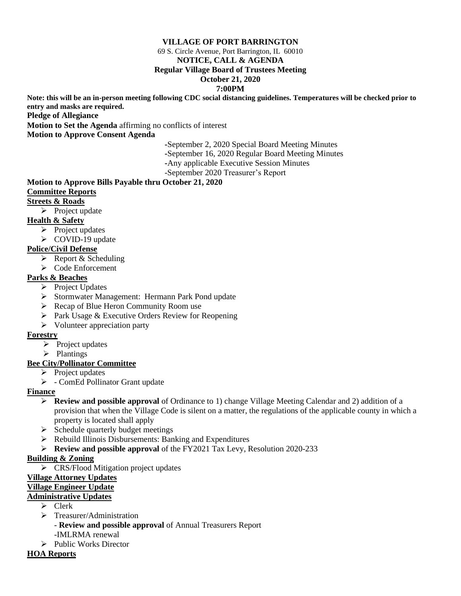## **VILLAGE OF PORT BARRINGTON**

69 S. Circle Avenue, Port Barrington, IL 60010

#### **NOTICE, CALL & AGENDA**

#### **Regular Village Board of Trustees Meeting**

#### **October 21, 2020**

#### **7:00PM**

**Note: this will be an in-person meeting following CDC social distancing guidelines. Temperatures will be checked prior to entry and masks are required.**

**Pledge of Allegiance**

**Motion to Set the Agenda** affirming no conflicts of interest

**Motion to Approve Consent Agenda**

**-**September 2, 2020 Special Board Meeting Minutes

**-**September 16, 2020 Regular Board Meeting Minutes

**-**Any applicable Executive Session Minutes

-September 2020 Treasurer's Report

# **Motion to Approve Bills Payable thru October 21, 2020**

## **Committee Reports**

# **Streets & Roads**

➢ Project update

## **Health & Safety**

- ➢ Project updates
- ➢ COVID-19 update

## **Police/Civil Defense**

- $\triangleright$  Report & Scheduling
- ➢ Code Enforcement

## **Parks & Beaches**

- ➢ Project Updates
- ➢ Stormwater Management: Hermann Park Pond update
- ➢ Recap of Blue Heron Community Room use
- ➢ Park Usage & Executive Orders Review for Reopening
- ➢ Volunteer appreciation party

#### **Forestry**

- ➢ Project updates
- ➢ Plantings

## **Bee City/Pollinator Committee**

- ➢ Project updates
- ➢ ComEd Pollinator Grant update

## **Finance**

- ➢ **Review and possible approval** of Ordinance to 1) change Village Meeting Calendar and 2) addition of a provision that when the Village Code is silent on a matter, the regulations of the applicable county in which a property is located shall apply
- ➢ Schedule quarterly budget meetings
- ➢ Rebuild Illinois Disbursements: Banking and Expenditures
- ➢ **Review and possible approval** of the FY2021 Tax Levy, Resolution 2020-233

## **Building & Zoning**

➢ CRS/Flood Mitigation project updates

## **Village Attorney Updates**

## **Village Engineer Update**

## **Administrative Updates**

- ➢ Clerk
- ➢ Treasurer/Administration
	- **Review and possible approval** of Annual Treasurers Report
	- -IMLRMA renewal
- ➢ Public Works Director

#### **HOA Reports**